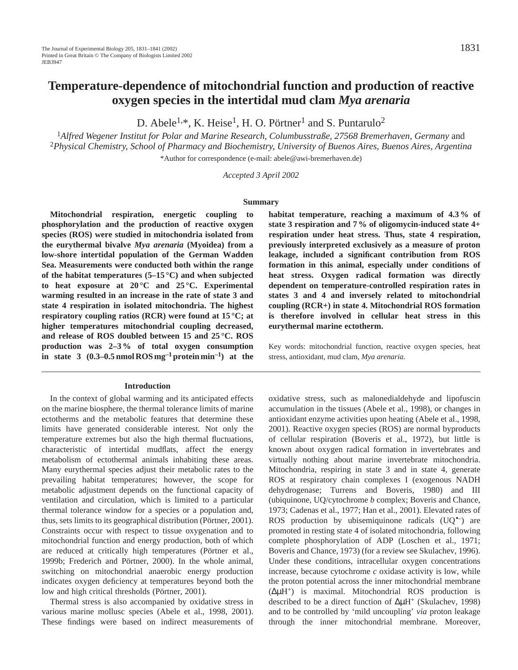D. Abele<sup>1,\*</sup>, K. Heise<sup>1</sup>, H. O. Pörtner<sup>1</sup> and S. Puntarulo<sup>2</sup>

<sup>1</sup>*Alfred Wegener Institut for Polar and Marine Research, Columbusstraße, 27568 Bremerhaven, Germany* and <sup>2</sup>*Physical Chemistry, School of Pharmacy and Biochemistry, University of Buenos Aires, Buenos Aires, Argentina* \*Author for correspondence (e-mail: abele@awi-bremerhaven.de)

*Accepted 3 April 2002*

#### **Summary**

**Mitochondrial respiration, energetic coupling to phosphorylation and the production of reactive oxygen species (ROS) were studied in mitochondria isolated from the eurythermal bivalve** *Mya arenaria* **(Myoidea) from a low-shore intertidal population of the German Wadden Sea. Measurements were conducted both within the range of the habitat temperatures (5–15 °C) and when subjected to heat exposure at 20 °C and 25 °C. Experimental warming resulted in an increase in the rate of state 3 and state 4 respiration in isolated mitochondria. The highest respiratory coupling ratios (RCR) were found at 15 °C; at higher temperatures mitochondrial coupling decreased, and release of ROS doubled between 15 and 25 °C. ROS production was 2–3 % of total oxygen consumption in state 3 (0.3–0.5 nmol ROS mg–1 protein min–1) at the**

#### **Introduction**

In the context of global warming and its anticipated effects on the marine biosphere, the thermal tolerance limits of marine ectotherms and the metabolic features that determine these limits have generated considerable interest. Not only the temperature extremes but also the high thermal fluctuations, characteristic of intertidal mudflats, affect the energy metabolism of ectothermal animals inhabiting these areas. Many eurythermal species adjust their metabolic rates to the prevailing habitat temperatures; however, the scope for metabolic adjustment depends on the functional capacity of ventilation and circulation, which is limited to a particular thermal tolerance window for a species or a population and, thus, sets limits to its geographical distribution (Pörtner, 2001). Constraints occur with respect to tissue oxygenation and to mitochondrial function and energy production, both of which are reduced at critically high temperatures (Pörtner et al., 1999b; Frederich and Pörtner, 2000). In the whole animal, switching on mitochondrial anaerobic energy production indicates oxygen deficiency at temperatures beyond both the low and high critical thresholds (Pörtner, 2001).

Thermal stress is also accompanied by oxidative stress in various marine mollusc species (Abele et al., 1998, 2001). These findings were based on indirect measurements of **habitat temperature, reaching a maximum of 4.3 % of state 3 respiration and 7 % of oligomycin-induced state 4+ respiration under heat stress. Thus, state 4 respiration, previously interpreted exclusively as a measure of proton leakage, included a significant contribution from ROS formation in this animal, especially under conditions of heat stress. Oxygen radical formation was directly dependent on temperature-controlled respiration rates in states 3 and 4 and inversely related to mitochondrial coupling (RCR+) in state 4. Mitochondrial ROS formation is therefore involved in cellular heat stress in this eurythermal marine ectotherm.**

Key words: mitochondrial function, reactive oxygen species, heat stress, antioxidant, mud clam, *Mya arenaria.*

oxidative stress, such as malonedialdehyde and lipofuscin accumulation in the tissues (Abele et al., 1998), or changes in antioxidant enzyme activities upon heating (Abele et al., 1998, 2001). Reactive oxygen species (ROS) are normal byproducts of cellular respiration (Boveris et al., 1972), but little is known about oxygen radical formation in invertebrates and virtually nothing about marine invertebrate mitochondria. Mitochondria, respiring in state 3 and in state 4, generate ROS at respiratory chain complexes I (exogenous NADH dehydrogenase; Turrens and Boveris, 1980) and III (ubiquinone, UQ/cytochrome *b* complex; Boveris and Chance, 1973; Cadenas et al., 1977; Han et al., 2001). Elevated rates of ROS production by ubisemiquinone radicals (UQ•–) are promoted in resting state 4 of isolated mitochondria, following complete phosphorylation of ADP (Loschen et al., 1971; Boveris and Chance, 1973) (for a review see Skulachev, 1996). Under these conditions, intracellular oxygen concentrations increase, because cytochrome *c* oxidase activity is low, while the proton potential across the inner mitochondrial membrane (∆µH+) is maximal. Mitochondrial ROS production is described to be a direct function of ∆µH+ (Skulachev, 1998) and to be controlled by 'mild uncoupling' *via* proton leakage through the inner mitochondrial membrane. Moreover,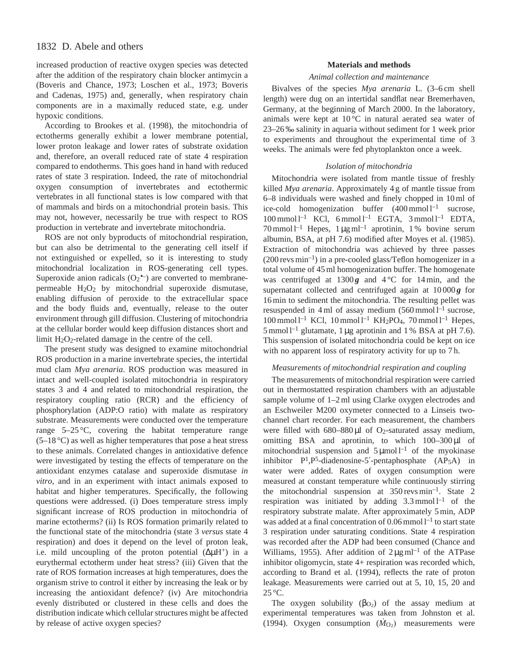# 1832 D. Abele and others

increased production of reactive oxygen species was detected after the addition of the respiratory chain blocker antimycin a (Boveris and Chance, 1973; Loschen et al., 1973; Boveris and Cadenas, 1975) and, generally, when respiratory chain components are in a maximally reduced state, e.g. under hypoxic conditions.

According to Brookes et al. (1998), the mitochondria of ectotherms generally exhibit a lower membrane potential, lower proton leakage and lower rates of substrate oxidation and, therefore, an overall reduced rate of state 4 respiration compared to endotherms. This goes hand in hand with reduced rates of state 3 respiration. Indeed, the rate of mitochondrial oxygen consumption of invertebrates and ectothermic vertebrates in all functional states is low compared with that of mammals and birds on a mitochondrial protein basis. This may not, however, necessarily be true with respect to ROS production in vertebrate and invertebrate mitochondria.

ROS are not only byproducts of mitochondrial respiration, but can also be detrimental to the generating cell itself if not extinguished or expelled, so it is interesting to study mitochondrial localization in ROS-generating cell types. Superoxide anion radicals  $(O_2^{\bullet-})$  are converted to membranepermeable  $H_2O_2$  by mitochondrial superoxide dismutase, enabling diffusion of peroxide to the extracellular space and the body fluids and, eventually, release to the outer environment through gill diffusion. Clustering of mitochondria at the cellular border would keep diffusion distances short and limit  $H_2O_2$ -related damage in the centre of the cell.

The present study was designed to examine mitochondrial ROS production in a marine invertebrate species, the intertidal mud clam *Mya arenaria*. ROS production was measured in intact and well-coupled isolated mitochondria in respiratory states 3 and 4 and related to mitochondrial respiration, the respiratory coupling ratio (RCR) and the efficiency of phosphorylation (ADP:O ratio) with malate as respiratory substrate. Measurements were conducted over the temperature range  $5-25$  °C, covering the habitat temperature range  $(5-18 \degree C)$  as well as higher temperatures that pose a heat stress to these animals. Correlated changes in antioxidative defence were investigated by testing the effects of temperature on the antioxidant enzymes catalase and superoxide dismutase *in vitro*, and in an experiment with intact animals exposed to habitat and higher temperatures. Specifically, the following questions were addressed. (i) Does temperature stress imply significant increase of ROS production in mitochondria of marine ectotherms? (ii) Is ROS formation primarily related to the functional state of the mitochondria (state 3 *versus* state 4 respiration) and does it depend on the level of proton leak, i.e. mild uncoupling of the proton potential  $(\Delta \mu H^+)$  in a eurythermal ectotherm under heat stress? (iii) Given that the rate of ROS formation increases at high temperatures, does the organism strive to control it either by increasing the leak or by increasing the antioxidant defence? (iv) Are mitochondria evenly distributed or clustered in these cells and does the distribution indicate which cellular structures might be affected by release of active oxygen species?

### **Materials and methods**

#### *Animal collection and maintenance*

Bivalves of the species *Mya arenaria* L*.* (3–6 cm shell length) were dug on an intertidal sandflat near Bremerhaven, Germany, at the beginning of March 2000. In the laboratory, animals were kept at 10 °C in natural aerated sea water of 23–26 ‰ salinity in aquaria without sediment for 1 week prior to experiments and throughout the experimental time of 3 weeks. The animals were fed phytoplankton once a week.

### *Isolation of mitochondria*

Mitochondria were isolated from mantle tissue of freshly killed *Mya arenaria*. Approximately 4 g of mantle tissue from 6–8 individuals were washed and finely chopped in 10 ml of ice-cold homogenization buffer  $(400 \text{ mmol})^{-1}$  sucrose,  $100$  mmol  $l^{-1}$  KCl, 6 mmol  $l^{-1}$  EGTA, 3 mmol  $l^{-1}$  EDTA, 70 mmol  $l^{-1}$  Hepes,  $1 \mu g$  m $l^{-1}$  aprotinin,  $1 \%$  bovine serum albumin, BSA, at pH 7.6) modified after Moyes et al. (1985). Extraction of mitochondria was achieved by three passes  $(200$  revs min<sup>-1</sup>) in a pre-cooled glass/Teflon homogenizer in a total volume of 45 ml homogenization buffer. The homogenate was centrifuged at  $1300g$  and  $4^{\circ}$ C for 14 min, and the supernatant collected and centrifuged again at 10000g for 16 min to sediment the mitochondria. The resulting pellet was resuspended in 4 ml of assay medium  $(560 \text{ mmol } l^{-1}$  sucrose, 100 mmol  $l^{-1}$  KCl, 10 mmol  $l^{-1}$  KH<sub>2</sub>PO<sub>4</sub>, 70 mmol  $l^{-1}$  Hepes,  $5$  mmol l<sup>-1</sup> glutamate, 1 µg aprotinin and 1 % BSA at pH 7.6). This suspension of isolated mitochondria could be kept on ice with no apparent loss of respiratory activity for up to 7 h.

#### *Measurements of mitochondrial respiration and coupling*

The measurements of mitochondrial respiration were carried out in thermostatted respiration chambers with an adjustable sample volume of 1–2 ml using Clarke oxygen electrodes and an Eschweiler M200 oxymeter connected to a Linseis twochannel chart recorder. For each measurement, the chambers were filled with  $680-880 \mu l$  of O<sub>2</sub>-saturated assay medium, omitting BSA and aprotinin, to which 100-300 µl of mitochondrial suspension and  $5 \mu$ mol l<sup>-1</sup> of the myokinase inhibitor P1,P5-diadenosine-5′-pentaphosphate (AP5A) in water were added. Rates of oxygen consumption were measured at constant temperature while continuously stirring the mitochondrial suspension at  $350$  revs min<sup>-1</sup>. State 2 respiration was initiated by adding  $3.3 \text{ mmol} \, \text{l}^{-1}$  of the respiratory substrate malate. After approximately 5 min, ADP was added at a final concentration of  $0.06$  mmol  $l^{-1}$  to start state 3 respiration under saturating conditions. State 4 respiration was recorded after the ADP had been consumed (Chance and Williams, 1955). After addition of  $2 \mu g$  ml<sup>-1</sup> of the ATPase inhibitor oligomycin, state 4+ respiration was recorded which, according to Brand et al. (1994), reflects the rate of proton leakage. Measurements were carried out at 5, 10, 15, 20 and 25 °C.

The oxygen solubility  $(\beta_{\text{O}_2})$  of the assay medium at experimental temperatures was taken from Johnston et al. (1994). Oxygen consumption  $(M<sub>O2</sub>)$  measurements were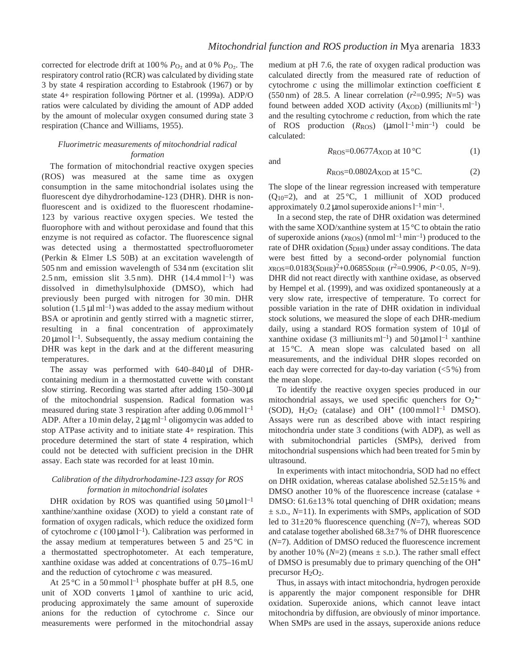and

corrected for electrode drift at 100 %  $P_{\text{O}_2}$  and at 0 %  $P_{\text{O}_2}$ . The respiratory control ratio (RCR) was calculated by dividing state 3 by state 4 respiration according to Estabrook (1967) or by state 4+ respiration following Pörtner et al. (1999a). ADP/O ratios were calculated by dividing the amount of ADP added by the amount of molecular oxygen consumed during state 3 respiration (Chance and Williams, 1955).

### *Fluorimetric measurements of mitochondrial radical formation*

The formation of mitochondrial reactive oxygen species (ROS) was measured at the same time as oxygen consumption in the same mitochondrial isolates using the fluorescent dye dihydrorhodamine-123 (DHR). DHR is nonfluorescent and is oxidized to the fluorescent rhodamine-123 by various reactive oxygen species. We tested the fluorophore with and without peroxidase and found that this enzyme is not required as cofactor. The fluorescence signal was detected using a thermostatted spectrofluorometer (Perkin & Elmer LS 50B) at an excitation wavelength of 505 nm and emission wavelength of 534 nm (excitation slit 2.5 nm, emission slit  $3.5$  nm). DHR  $(14.4 \text{ mmol }1^{-1})$  was dissolved in dimethylsulphoxide (DMSO), which had previously been purged with nitrogen for 30 min. DHR solution  $(1.5 \mu I \text{ m}^{-1})$  was added to the assay medium without BSA or aprotinin and gently stirred with a magnetic stirrer, resulting in a final concentration of approximately  $20 \mu$ mol l<sup>-1</sup>. Subsequently, the assay medium containing the DHR was kept in the dark and at the different measuring temperatures.

The assay was performed with  $640-840 \mu l$  of DHRcontaining medium in a thermostatted cuvette with constant slow stirring. Recording was started after adding 150–300 µl of the mitochondrial suspension. Radical formation was measured during state 3 respiration after adding  $0.06$  mmol  $l^{-1}$ ADP. After a 10 min delay,  $2 \mu g$  ml<sup>-1</sup> oligomycin was added to stop ATPase activity and to initiate state 4+ respiration. This procedure determined the start of state 4 respiration, which could not be detected with sufficient precision in the DHR assay. Each state was recorded for at least 10 min.

## *Calibration of the dihydrorhodamine-123 assay for ROS formation in mitochondrial isolates*

DHR oxidation by ROS was quantified using  $50 \mu$ mol l<sup>-1</sup> xanthine/xanthine oxidase (XOD) to yield a constant rate of formation of oxygen radicals, which reduce the oxidized form of cytochrome  $c(100 \mu \text{mol})^{-1}$ . Calibration was performed in the assay medium at temperatures between 5 and  $25^{\circ}$ C in a thermostatted spectrophotometer. At each temperature, xanthine oxidase was added at concentrations of 0.75–16 mU and the reduction of cytochrome *c* was measured.

At 25 °C in a 50 mmol  $l^{-1}$  phosphate buffer at pH 8.5, one unit of XOD converts  $1 \mu$ mol of xanthine to uric acid, producing approximately the same amount of superoxide anions for the reduction of cytochrome *c*. Since our measurements were performed in the mitochondrial assay medium at pH 7.6, the rate of oxygen radical production was calculated directly from the measured rate of reduction of cytochrome *c* using the millimolar extinction coefficient ε (550 nm) of 28.5. A linear correlation  $(r^2=0.995; N=5)$  was found between added XOD activity  $(A_{XOD})$  (milliunits ml<sup>-1</sup>) and the resulting cytochrome *c* reduction, from which the rate of ROS production  $(R_{ROS})$  ( $\mu$ mol l<sup>-1</sup>min<sup>-1</sup>) could be calculated:

$$
R_{\text{ROS}} = 0.0677 A_{\text{XOD}} \text{ at } 10^{\circ}\text{C}
$$
 (1)

$$
R_{\text{ROS}} = 0.0802 A_{\text{XOD}} \text{ at } 15^{\circ}\text{C}.
$$
 (2)

The slope of the linear regression increased with temperature  $(Q_{10}=2)$ , and at 25 °C, 1 milliunit of XOD produced approximately  $0.2 \mu$ mol superoxide anions  $l^{-1}$ min<sup>-1</sup>.

In a second step, the rate of DHR oxidation was determined with the same XOD/xanthine system at 15 °C to obtain the ratio of superoxide anions  $(x_{\text{ROS}})$  (nmol ml<sup>-1</sup> min<sup>-1</sup>) produced to the rate of DHR oxidation (*S*<sub>DHR</sub>) under assay conditions. The data were best fitted by a second-order polynomial function *x*ROS=0.0183(*S*DHR)2+0.0685*S*DHR (*r*2=0.9906, *P<*0.05, *N*=9). DHR did not react directly with xanthine oxidase, as observed by Hempel et al. (1999), and was oxidized spontaneously at a very slow rate, irrespective of temperature. To correct for possible variation in the rate of DHR oxidation in individual stock solutions, we measured the slope of each DHR-medium daily, using a standard ROS formation system of 10 µl of xanthine oxidase (3 milliunits ml<sup>-1</sup>) and  $50 \mu$ mol l<sup>-1</sup> xanthine at 15 °C. A mean slope was calculated based on all measurements, and the individual DHR slopes recorded on each day were corrected for day-to-day variation (<5 %) from the mean slope.

To identify the reactive oxygen species produced in our mitochondrial assays, we used specific quenchers for  $O_2$ <sup>\*</sup> (SOD),  $H_2O_2$  (catalase) and OH<sup>•</sup> (100 mmol l<sup>-1</sup> DMSO). Assays were run as described above with intact respiring mitochondria under state 3 conditions (with ADP), as well as with submitochondrial particles (SMPs), derived from mitochondrial suspensions which had been treated for 5 min by ultrasound.

In experiments with intact mitochondria, SOD had no effect on DHR oxidation, whereas catalase abolished 52.5±15 % and DMSO another 10% of the fluorescence increase (catalase + DMSO: 61.6±13 % total quenching of DHR oxidation; means ± S.D., *N*=11). In experiments with SMPs, application of SOD led to 31±20 % fluorescence quenching (*N*=7), whereas SOD and catalase together abolished 68.3±7 % of DHR fluorescence (*N*=7). Addition of DMSO reduced the fluorescence increment by another  $10\%$  ( $N=2$ ) (means  $\pm$  s.D.). The rather small effect of DMSO is presumably due to primary quenching of the OH• precursor  $H<sub>2</sub>O<sub>2</sub>$ .

Thus, in assays with intact mitochondria, hydrogen peroxide is apparently the major component responsible for DHR oxidation. Superoxide anions, which cannot leave intact mitochondria by diffusion, are obviously of minor importance. When SMPs are used in the assays, superoxide anions reduce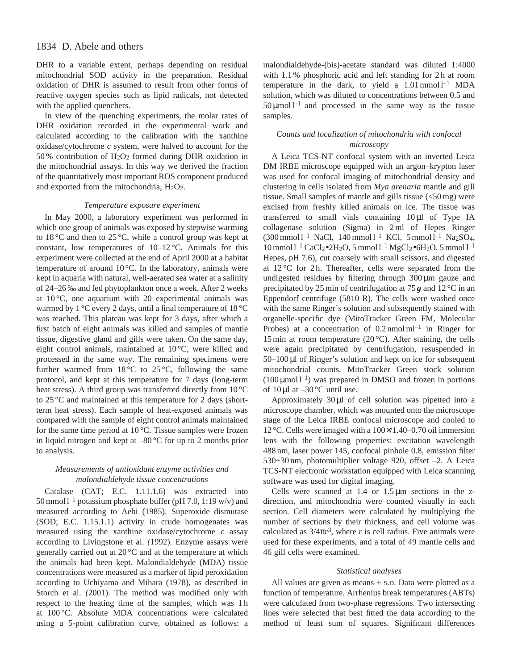# 1834 D. Abele and others

DHR to a variable extent, perhaps depending on residual mitochondrial SOD activity in the preparation. Residual oxidation of DHR is assumed to result from other forms of reactive oxygen species such as lipid radicals, not detected with the applied quenchers.

In view of the quenching experiments, the molar rates of DHR oxidation recorded in the experimental work and calculated according to the calibration with the xanthine oxidase/cytochrome *c* system, were halved to account for the 50 % contribution of  $H_2O_2$  formed during DHR oxidation in the mitochondrial assays. In this way we derived the fraction of the quantitatively most important ROS component produced and exported from the mitochondria,  $H_2O_2$ .

#### *Temperature exposure experiment*

In May 2000, a laboratory experiment was performed in which one group of animals was exposed by stepwise warming to 18 °C and then to 25 °C, while a control group was kept at constant, low temperatures of  $10-12$  °C. Animals for this experiment were collected at the end of April 2000 at a habitat temperature of around  $10^{\circ}$ C. In the laboratory, animals were kept in aquaria with natural, well-aerated sea water at a salinity of 24–26 ‰ and fed phytoplankton once a week. After 2 weeks at  $10^{\circ}$ C, one aquarium with 20 experimental animals was warmed by 1 °C every 2 days, until a final temperature of 18 °C was reached. This plateau was kept for 3 days, after which a first batch of eight animals was killed and samples of mantle tissue, digestive gland and gills were taken. On the same day, eight control animals, maintained at 10 °C, were killed and processed in the same way. The remaining specimens were further warmed from  $18\,^{\circ}\text{C}$  to  $25\,^{\circ}\text{C}$ , following the same protocol, and kept at this temperature for 7 days (long-term heat stress). A third group was transferred directly from 10 °C to 25 °C and maintained at this temperature for 2 days (shortterm heat stress). Each sample of heat-exposed animals was compared with the sample of eight control animals maintained for the same time period at  $10^{\circ}$ C. Tissue samples were frozen in liquid nitrogen and kept at –80 °C for up to 2 months prior to analysis.

## *Measurements of antioxidant enzyme activities and malondialdehyde tissue concentrations*

Catalase (CAT; E.C. 1.11.1.6) was extracted into 50 mmol  $l^{-1}$  potassium phosphate buffer (pH 7.0, 1:19 w/v) and measured according to Aebi (1985). Superoxide dismutase (SOD; E.C. 1.15.1.1) activity in crude homogenates was measured using the xanthine oxidase/cytochrome *c* assay according to Livingstone et al. *(*1992). Enzyme assays were generally carried out at 20 °C and at the temperature at which the animals had been kept. Malondialdehyde (MDA) tissue concentrations were measured as a marker of lipid peroxidation according to Uchiyama and Mihara (1978), as described in Storch et al. *(*2001). The method was modified only with respect to the heating time of the samples, which was 1 h at 100 °C. Absolute MDA concentrations were calculated using a 5-point calibration curve, obtained as follows: a malondialdehyde-(bis)-acetate standard was diluted 1:4000 with 1.1% phosphoric acid and left standing for 2h at room temperature in the dark, to yield a  $1.01$  mmol  $l^{-1}$  MDA solution, which was diluted to concentrations between 0.5 and  $50 \mu$ mol l<sup>-1</sup> and processed in the same way as the tissue samples.

### *Counts and localization of mitochondria with confocal microscopy*

A Leica TCS-NT confocal system with an inverted Leica DM IRBE microscope equipped with an argon–krypton laser was used for confocal imaging of mitochondrial density and clustering in cells isolated from *Mya arenaria* mantle and gill tissue. Small samples of mantle and gills tissue  $(<50 \,\text{mg})$  were excised from freshly killed animals on ice. The tissue was transferred to small vials containing 10 µl of Type IA collagenase solution (Sigma) in 2 ml of Hepes Ringer  $(300 \text{ mmol } l^{-1} \text{ NaCl}, 140 \text{ mmol } l^{-1} \text{ KCl}, 5 \text{ mmol } l^{-1} \text{ Na}_2\text{SO}_4,$  $10$  mmol l<sup>-1</sup> CaCl<sub>2</sub>•2H<sub>2</sub>O, 5 mmol l<sup>-1</sup> MgCl<sub>2</sub>•6H<sub>2</sub>O, 5 mmol l<sup>-1</sup> Hepes, pH 7.6), cut coarsely with small scissors, and digested at  $12^{\circ}$ C for 2h. Thereafter, cells were separated from the undigested residues by filtering through 300 µm gauze and precipitated by 25 min of centrifugation at 75 *g* and 12 °C in an Eppendorf centrifuge (5810 R). The cells were washed once with the same Ringer's solution and subsequently stained with organelle-specific dye (MitoTracker Green FM, Molecular Probes) at a concentration of  $0.2 \text{ nmol} \text{ ml}^{-1}$  in Ringer for 15 min at room temperature (20 °C). After staining, the cells were again precipitated by centrifugation, resuspended in 50–100 µl of Ringer's solution and kept on ice for subsequent mitochondrial counts. MitoTracker Green stock solution  $(100 \,\mu\text{mol})^{-1}$ ) was prepared in DMSO and frozen in portions of  $10 \mu$ l at  $-30$  °C until use.

Approximately 30 µl of cell solution was pipetted into a microscope chamber, which was mounted onto the microscope stage of the Leica IRBE confocal microscope and cooled to 12 °C. Cells were imaged with a 100×/1.40–0.70 oil immersion lens with the following properties: excitation wavelength 488 nm, laser power 145, confocal pinhole 0.8, emission filter 530±30 nm, photomultiplier voltage 920, offset –2. A Leica TCS-NT electronic workstation equipped with Leica scanning software was used for digital imaging.

Cells were scanned at 1.4 or 1.5 µm sections in the *z*direction, and mitochondria were counted visually in each section. Cell diameters were calculated by multiplying the number of sections by their thickness, and cell volume was calculated as  $3/4\pi r^3$ , where *r* is cell radius. Five animals were used for these experiments, and a total of 49 mantle cells and 46 gill cells were examined.

#### *Statistical analyses*

All values are given as means  $\pm$  s.D. Data were plotted as a function of temperature. Arrhenius break temperatures (ABTs) were calculated from two-phase regressions. Two intersecting lines were selected that best fitted the data according to the method of least sum of squares. Significant differences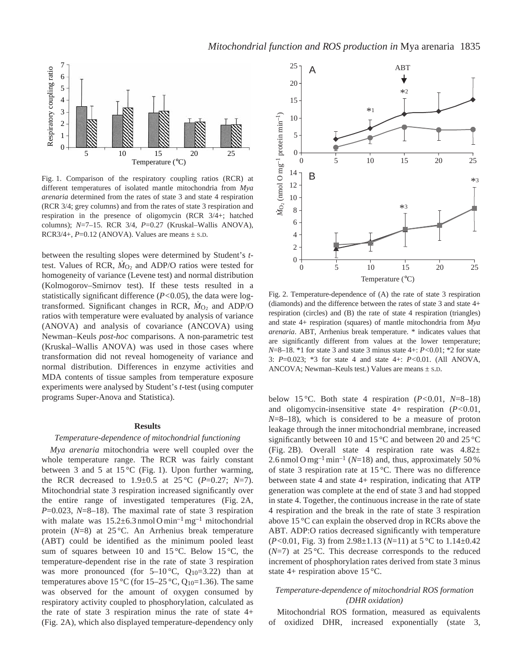

Fig. 1. Comparison of the respiratory coupling ratios (RCR) at different temperatures of isolated mantle mitochondria from *Mya arenaria* determined from the rates of state 3 and state 4 respiration (RCR 3/4; grey columns) and from the rates of state 3 respiration and respiration in the presence of oligomycin (RCR 3/4+; hatched columns); *N*=7–15. RCR 3/4, *P*=0.27 (Kruskal–Wallis ANOVA), RCR3/4+,  $P=0.12$  (ANOVA). Values are means  $\pm$  s.p.

between the resulting slopes were determined by Student's *t*test. Values of RCR,  $\dot{M}_{O_2}$  and ADP/O ratios were tested for homogeneity of variance (Levene test) and normal distribution (Kolmogorov–Smirnov test). If these tests resulted in a statistically significant difference (*P<*0.05), the data were logtransformed. Significant changes in RCR,  $\dot{M}_{O_2}$  and ADP/O ratios with temperature were evaluated by analysis of variance (ANOVA) and analysis of covariance (ANCOVA) using Newman–Keuls *post-hoc* comparisons. A non-parametric test (Kruskal–Wallis ANOVA) was used in those cases where transformation did not reveal homogeneity of variance and normal distribution. Differences in enzyme activities and MDA contents of tissue samples from temperature exposure experiments were analysed by Student's *t*-test (using computer programs Super-Anova and Statistica).

#### **Results**

### *Temperature-dependence of mitochondrial functioning*

*Mya arenaria* mitochondria were well coupled over the whole temperature range. The RCR was fairly constant between 3 and 5 at 15 °C (Fig. 1). Upon further warming, the RCR decreased to  $1.9 \pm 0.5$  at  $25^{\circ}$ C (*P*=0.27; *N*=7). Mitochondrial state 3 respiration increased significantly over the entire range of investigated temperatures (Fig. 2A, *P*=0.023, *N*=8–18). The maximal rate of state 3 respiration with malate was  $15.2 \pm 6.3$  nmol O min<sup>-1</sup> mg<sup>-1</sup> mitochondrial protein (*N*=8) at 25 °C. An Arrhenius break temperature (ABT) could be identified as the minimum pooled least sum of squares between 10 and 15 °C. Below 15 °C, the temperature-dependent rise in the rate of state 3 respiration was more pronounced (for  $5-10$ °C,  $Q_{10}=3.22$ ) than at temperatures above 15 °C (for 15–25 °C,  $Q_{10}$ =1.36). The same was observed for the amount of oxygen consumed by respiratory activity coupled to phosphorylation, calculated as the rate of state 3 respiration minus the rate of state 4+ (Fig. 2A), which also displayed temperature-dependency only



Fig. 2. Temperature-dependence of (A) the rate of state 3 respiration (diamonds) and the difference between the rates of state 3 and state 4+ respiration (circles) and (B) the rate of state 4 respiration (triangles) and state 4+ respiration (squares) of mantle mitochondria from *Mya arenaria*. ABT, Arrhenius break temperature. \* indicates values that are significantly different from values at the lower temperature; *N*=8–18. \*1 for state 3 and state 3 minus state 4+: *P<*0.01; \*2 for state 3: *P*=0.023; \*3 for state 4 and state 4+: *P<*0.01. (All ANOVA, ANCOVA; Newman–Keuls test.) Values are means  $\pm$  s.D.

below 15 °C. Both state 4 respiration (*P<*0.01, *N*=8–18) and oligomycin-insensitive state 4+ respiration (*P<*0.01, *N*=8–18), which is considered to be a measure of proton leakage through the inner mitochondrial membrane, increased significantly between 10 and 15 °C and between 20 and 25 °C (Fig. 2B). Overall state 4 respiration rate was  $4.82\pm$ 2.6 nmol O mg<sup>-1</sup> min<sup>-1</sup> ( $N=18$ ) and, thus, approximately 50% of state 3 respiration rate at 15 °C. There was no difference between state 4 and state 4+ respiration, indicating that ATP generation was complete at the end of state 3 and had stopped in state 4. Together, the continuous increase in the rate of state 4 respiration and the break in the rate of state 3 respiration above 15 °C can explain the observed drop in RCRs above the ABT. ADP:O ratios decreased significantly with temperature (*P<*0.01, Fig. 3) from 2.98±1.13 (*N*=11) at 5 °C to 1.14±0.42 (*N*=7) at 25 °C. This decrease corresponds to the reduced increment of phosphorylation rates derived from state 3 minus state 4+ respiration above 15 °C.

### *Temperature-dependence of mitochondrial ROS formation (DHR oxidation)*

Mitochondrial ROS formation, measured as equivalents of oxidized DHR, increased exponentially (state 3,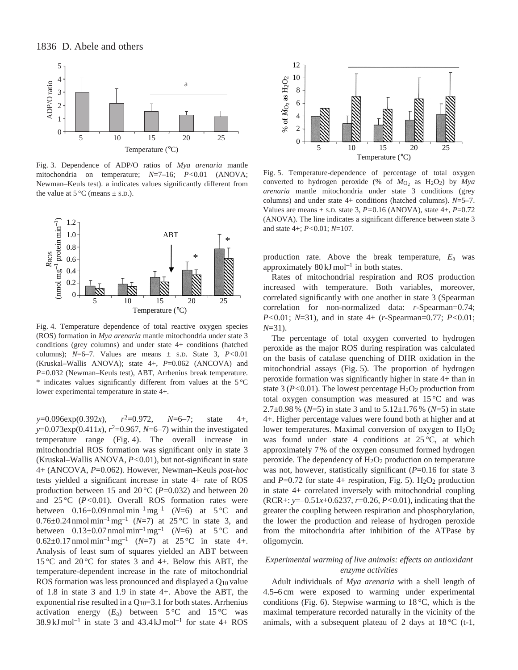

Fig. 3. Dependence of ADP/O ratios of *Mya arenaria* mantle mitochondria on temperature; *N*=7–16; *P<*0.01 (ANOVA; Newman–Keuls test). a indicates values significantly different from the value at  $5^{\circ}$ C (means  $\pm$  s.D.).



Fig. 4. Temperature dependence of total reactive oxygen species (ROS) formation in *Mya arenaria* mantle mitochondria under state 3 conditions (grey columns) and under state 4+ conditions (hatched columns);  $N=6-7$ . Values are means  $\pm$  s.p. State 3,  $P<0.01$ (Kruskal–Wallis ANOVA); state 4+, *P*=0.062 (ANCOVA) and *P=*0.032 (Newman–Keuls test), ABT, Arrhenius break temperature.  $*$  indicates values significantly different from values at the  $5^{\circ}$ C lower experimental temperature in state 4+.

*y*=0.096exp(0.392*x*), *r*2=0.972, *N*=6–7; state 4+,  $y=0.073 \exp(0.411x)$ ,  $r^2=0.967$ ,  $N=6-7$ ) within the investigated temperature range (Fig. 4). The overall increase in mitochondrial ROS formation was significant only in state 3 (Kruskal–Wallis ANOVA, *P<*0.01), but not-significant in state 4+ (ANCOVA, *P*=0.062). However, Newman–Keuls *post-hoc* tests yielded a significant increase in state 4+ rate of ROS production between 15 and 20 $\degree$ C (*P*=0.032) and between 20 and 25 °C (*P<*0.01). Overall ROS formation rates were between  $0.16\pm0.09$  nmol min<sup>-1</sup> mg<sup>-1</sup> (*N*=6) at 5 °C and  $0.76 \pm 0.24$  nmol min<sup>-1</sup> mg<sup>-1</sup> (*N*=7) at 25 °C in state 3, and between  $0.13\pm0.07$  nmol min<sup>-1</sup> mg<sup>-1</sup> (*N*=6) at 5 °C and 0.62±0.17 nmol min<sup>-1</sup> mg<sup>-1</sup> (*N*=7) at 25 °C in state 4+. Analysis of least sum of squares yielded an ABT between 15 °C and 20 °C for states 3 and 4+. Below this ABT, the temperature-dependent increase in the rate of mitochondrial ROS formation was less pronounced and displayed a Q10 value of 1.8 in state 3 and 1.9 in state 4+. Above the ABT, the exponential rise resulted in a  $Q_{10}=3.1$  for both states. Arrhenius activation energy  $(E_a)$  between  $5^{\circ}$ C and  $15^{\circ}$ C was  $38.9 \text{ kJ} \text{ mol}^{-1}$  in state 3 and  $43.4 \text{ kJ} \text{ mol}^{-1}$  for state 4+ ROS



Fig. 5. Temperature-dependence of percentage of total oxygen converted to hydrogen peroxide (% of  $\dot{M}_{O_2}$  as H<sub>2</sub>O<sub>2</sub>) by  $Mya$ *arenaria* mantle mitochondria under state 3 conditions (grey columns) and under state 4+ conditions (hatched columns). *N*=5–7. Values are means  $\pm$  s.D. state 3,  $P=0.16$  (ANOVA), state 4+,  $P=0.72$ (ANOVA). The line indicates a significant difference between state 3 and state 4+; *P<*0.01; *N*=107.

production rate. Above the break temperature, *E*a was approximately  $80 \text{ kJ} \text{ mol}^{-1}$  in both states.

Rates of mitochondrial respiration and ROS production increased with temperature. Both variables, moreover, correlated significantly with one another in state 3 (Spearman correlation for non-normalized data: *r*-Spearman=0.74; *P<*0.01; *N*=31), and in state 4+ (*r*-Spearman=0.77; *P<*0.01; *N*=31).

The percentage of total oxygen converted to hydrogen peroxide as the major ROS during respiration was calculated on the basis of catalase quenching of DHR oxidation in the mitochondrial assays (Fig. 5). The proportion of hydrogen peroxide formation was significantly higher in state 4+ than in state 3 ( $P<0.01$ ). The lowest percentage  $H<sub>2</sub>O<sub>2</sub>$  production from total oxygen consumption was measured at 15 °C and was 2.7±0.98 % (*N*=5) in state 3 and to 5.12±1.76 % (*N*=5) in state 4+. Higher percentage values were found both at higher and at lower temperatures. Maximal conversion of oxygen to  $H_2O_2$ was found under state 4 conditions at  $25^{\circ}$ C, at which approximately 7 % of the oxygen consumed formed hydrogen peroxide. The dependency of  $H_2O_2$  production on temperature was not, however, statistically significant ( $P=0.16$  for state 3 and  $P=0.72$  for state 4+ respiration, Fig. 5). H<sub>2</sub>O<sub>2</sub> production in state 4+ correlated inversely with mitochondrial coupling (RCR+: *y*=–0.51*x*+0.6237, *r*=0.26, *P<*0.01), indicating that the greater the coupling between respiration and phosphorylation, the lower the production and release of hydrogen peroxide from the mitochondria after inhibition of the ATPase by oligomycin.

### *Experimental warming of live animals: effects on antioxidant enzyme activities*

Adult individuals of *Mya arenaria* with a shell length of 4.5–6 cm were exposed to warming under experimental conditions (Fig. 6). Stepwise warming to  $18^{\circ}$ C, which is the maximal temperature recorded naturally in the vicinity of the animals, with a subsequent plateau of 2 days at  $18^{\circ}$ C (t-1,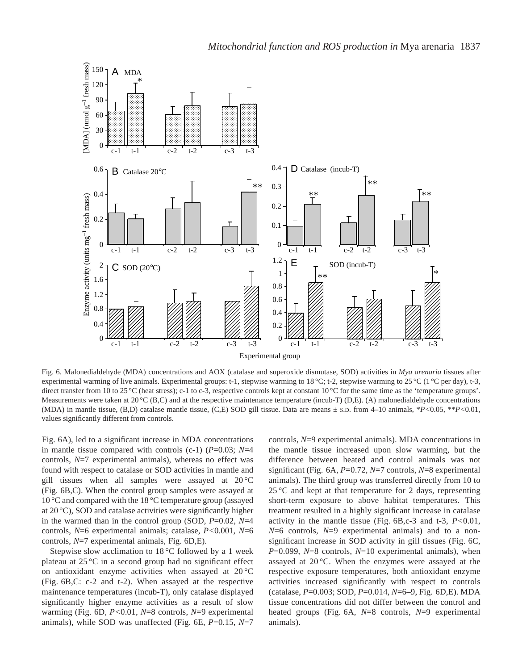

Fig. 6. Malonedialdehyde (MDA) concentrations and AOX (catalase and superoxide dismutase, SOD) activities in *Mya arenaria* tissues after experimental warming of live animals. Experimental groups: t-1, stepwise warming to 18 °C; t-2, stepwise warming to 25 °C (1 °C per day), t-3, direct transfer from 10 to 25 °C (heat stress); c-1 to c-3, respective controls kept at constant  $10^{\circ}$ C for the same time as the 'temperature groups'. Measurements were taken at 20 $\rm{^{\circ}C}$  (B,C) and at the respective maintenance temperature (incub-T) (D,E). (A) malonedialdehyde concentrations (MDA) in mantle tissue, (B,D) catalase mantle tissue, (C,E) SOD gill tissue. Data are means ± S.D. from 4–10 animals, \**P<*0.05, \*\**P<*0.01, values significantly different from controls.

Fig. 6A), led to a significant increase in MDA concentrations in mantle tissue compared with controls (c-1) (*P*=0.03; *N*=4 controls, *N*=7 experimental animals), whereas no effect was found with respect to catalase or SOD activities in mantle and gill tissues when all samples were assayed at 20 °C (Fig. 6B,C). When the control group samples were assayed at 10 °C and compared with the 18 °C temperature group (assayed at 20 °C), SOD and catalase activities were significantly higher in the warmed than in the control group (SOD, *P*=0.02, *N*=4 controls, *N*=6 experimental animals; catalase, *P<*0.001, *N*=6 controls, *N*=7 experimental animals, Fig. 6D,E).

Stepwise slow acclimation to 18 °C followed by a 1 week plateau at 25 °C in a second group had no significant effect on antioxidant enzyme activities when assayed at 20 °C (Fig. 6B,C: c-2 and t-2). When assayed at the respective maintenance temperatures (incub-T), only catalase displayed significantly higher enzyme activities as a result of slow warming (Fig. 6D, *P<*0.01, *N*=8 controls, *N*=9 experimental animals), while SOD was unaffected (Fig. 6E, *P*=0.15, *N*=7

controls, *N*=9 experimental animals). MDA concentrations in the mantle tissue increased upon slow warming, but the difference between heated and control animals was not significant (Fig. 6A, *P*=0.72, *N*=7 controls, *N*=8 experimental animals). The third group was transferred directly from 10 to  $25^{\circ}$ C and kept at that temperature for 2 days, representing short-term exposure to above habitat temperatures. This treatment resulted in a highly significant increase in catalase activity in the mantle tissue (Fig. 6B,c-3 and t-3, *P<*0.01, *N*=6 controls, *N*=9 experimental animals) and to a nonsignificant increase in SOD activity in gill tissues (Fig. 6C, *P*=0.099, *N*=8 controls, *N*=10 experimental animals), when assayed at 20 °C. When the enzymes were assayed at the respective exposure temperatures, both antioxidant enzyme activities increased significantly with respect to controls (catalase, *P*=0.003; SOD, *P*=0.014, *N*=6–9, Fig. 6D,E). MDA tissue concentrations did not differ between the control and heated groups (Fig. 6A, *N*=8 controls, *N*=9 experimental animals).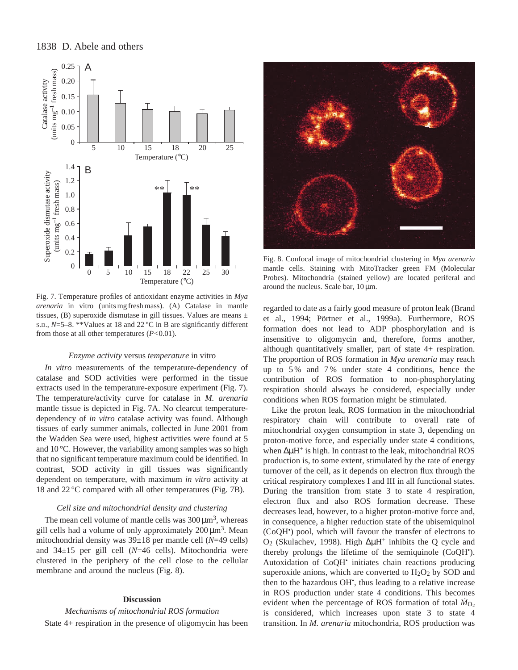# 1838 D. Abele and others



Fig. 7. Temperature profiles of antioxidant enzyme activities in *Mya arenaria* in vitro (units mg fresh mass). (A) Catalase in mantle tissues, (B) superoxide dismutase in gill tissues. Values are means  $\pm$ S.D., *N*=5–8. \*\*Values at 18 and 22 °C in B are significantly different from those at all other temperatures (*P<*0.01).

#### *Enzyme activity* versus *temperature* in vitro

*In vitro* measurements of the temperature-dependency of catalase and SOD activities were performed in the tissue extracts used in the temperature-exposure experiment (Fig. 7). The temperature/activity curve for catalase in *M. arenaria* mantle tissue is depicted in Fig. 7A. No clearcut temperaturedependency of *in vitro* catalase activity was found. Although tissues of early summer animals, collected in June 2001 from the Wadden Sea were used, highest activities were found at 5 and 10 °C. However, the variability among samples was so high that no significant temperature maximum could be identified. In contrast, SOD activity in gill tissues was significantly dependent on temperature, with maximum *in vitro* activity at 18 and 22 °C compared with all other temperatures (Fig. 7B).

#### *Cell size and mitochondrial density and clustering*

The mean cell volume of mantle cells was  $300 \mu m^3$ , whereas gill cells had a volume of only approximately  $200 \mu m^3$ . Mean mitochondrial density was 39±18 per mantle cell (*N*=49 cells) and 34±15 per gill cell (*N*=46 cells). Mitochondria were clustered in the periphery of the cell close to the cellular membrane and around the nucleus (Fig. 8).

### **Discussion**

### *Mechanisms of mitochondrial ROS formation*

State 4+ respiration in the presence of oligomycin has been



Fig. 8. Confocal image of mitochondrial clustering in *Mya arenaria* mantle cells. Staining with MitoTracker green FM (Molecular Probes). Mitochondria (stained yellow) are located periferal and around the nucleus. Scale bar,  $10 \mu m$ .

regarded to date as a fairly good measure of proton leak (Brand et al., 1994; Pörtner et al., 1999a). Furthermore, ROS formation does not lead to ADP phosphorylation and is insensitive to oligomycin and, therefore, forms another, although quantitatively smaller, part of state 4+ respiration. The proportion of ROS formation in *Mya arenaria* may reach up to 5 % and 7 % under state 4 conditions, hence the contribution of ROS formation to non-phosphorylating respiration should always be considered, especially under conditions when ROS formation might be stimulated.

Like the proton leak, ROS formation in the mitochondrial respiratory chain will contribute to overall rate of mitochondrial oxygen consumption in state 3, depending on proton-motive force, and especially under state 4 conditions, when ∆µH<sup>+</sup> is high. In contrast to the leak, mitochondrial ROS production is, to some extent, stimulated by the rate of energy turnover of the cell, as it depends on electron flux through the critical respiratory complexes I and III in all functional states. During the transition from state 3 to state 4 respiration, electron flux and also ROS formation decrease. These decreases lead, however, to a higher proton-motive force and, in consequence, a higher reduction state of the ubisemiquinol (CoQH• ) pool, which will favour the transfer of electrons to O2 (Skulachev, 1998). High ∆µH<sup>+</sup> inhibits the Q cycle and thereby prolongs the lifetime of the semiquinole (CoQH• ). Autoxidation of CoQH• initiates chain reactions producing superoxide anions, which are converted to  $H<sub>2</sub>O<sub>2</sub>$  by SOD and then to the hazardous OH<sup>\*</sup>, thus leading to a relative increase in ROS production under state 4 conditions. This becomes evident when the percentage of ROS formation of total  $\dot{M}_{O_2}$ is considered, which increases upon state 3 to state 4 transition. In *M. arenaria* mitochondria, ROS production was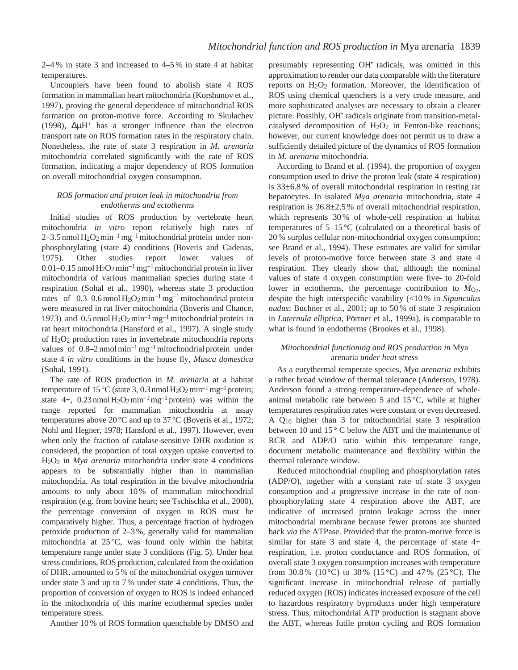2–4 % in state 3 and increased to 4–5 % in state 4 at habitat temperatures.

Uncouplers have been found to abolish state 4 ROS formation in mammalian heart mitochondria (Korshunov et al., 1997), proving the general dependence of mitochondrial ROS formation on proton-motive force. According to Skulachev (1998), ∆µH+ has a stronger influence than the electron transport rate on ROS formation rates in the respiratory chain. Nonetheless, the rate of state 3 respiration in *M. arenaria* mitochondria correlated significantly with the rate of ROS formation, indicating a major dependency of ROS formation on overall mitochondrial oxygen consumption.

## *ROS formation and proton leak in mitochondria from endotherms and ectotherms*

Initial studies of ROS production by vertebrate heart mitochondria *in vitro* report relatively high rates of 2–3.5 nmol  $H_2O_2$  min<sup>-1</sup> mg<sup>-1</sup> mitochondrial protein under nonphosphorylating (state 4) conditions (Boveris and Cadenas, 1975). Other studies report lower values of 0.01–0.15 nmol  $H_2O_2$  min<sup>-1</sup> mg<sup>-1</sup> mitochondrial protein in liver mitochondria of various mammalian species during state 4 respiration (Sohal et al., 1990), whereas state 3 production rates of  $0.3-0.6$  nmol  $H_2O_2$  min<sup>-1</sup> mg<sup>-1</sup> mitochondrial protein were measured in rat liver mitochondria (Boveris and Chance, 1973) and  $0.5$  nmol  $H_2O_2$  min<sup>-1</sup> mg<sup>-1</sup> mitochondrial protein in rat heart mitochondria (Hansford et al., 1997). A single study of H2O2 production rates in invertebrate mitochondria reports values of  $0.8-2$  nmol min<sup>-1</sup> mg<sup>-1</sup> mitochondrial protein under state 4 *in vitro* conditions in the house fly, *Musca domestica* (Sohal, 1991).

The rate of ROS production in *M. arenaria* at a habitat temperature of 15 °C (state 3, 0.3 nmol  $\text{H}_2\text{O}_2 \text{min}^{-1} \text{mg}^{-1}$  protein; state  $4+$ ,  $0.23$  nmol  $H_2O_2$  min<sup>-1</sup> mg<sup>-1</sup> protein) was within the range reported for mammalian mitochondria at assay temperatures above 20 °C and up to 37 °C (Boveris et al., 1972; Nohl and Hegner, 1978; Hansford et al., 1997). However, even when only the fraction of catalase-sensitive DHR oxidation is considered, the proportion of total oxygen uptake converted to H2O2 in *Mya arenaria* mitochondria under state 4 conditions appears to be substantially higher than in mammalian mitochondria. As total respiration in the bivalve mitochondria amounts to only about 10 % of mammalian mitochondrial respiration (e.g. from bovine heart; see Tschischka et al., 2000), the percentage conversion of oxygen to ROS must be comparatively higher. Thus, a percentage fraction of hydrogen peroxide production of 2–3 %, generally valid for mammalian mitochondria at  $25^{\circ}$ C, was found only within the habitat temperature range under state 3 conditions (Fig. 5). Under heat stress conditions, ROS production, calculated from the oxidation of DHR, amounted to 5 % of the mitochondrial oxygen turnover under state 3 and up to 7 % under state 4 conditions. Thus, the proportion of conversion of oxygen to ROS is indeed enhanced in the mitochondria of this marine ectothermal species under temperature stress.

Another 10 % of ROS formation quenchable by DMSO and

presumably representing OH• radicals, was omitted in this approximation to render our data comparable with the literature reports on  $H_2O_2$  formation. Moreover, the identification of ROS using chemical quenchers is a very crude measure, and more sophisticated analyses are necessary to obtain a clearer picture. Possibly, OH• radicals originate from transition-metalcatalysed decomposition of  $H_2O_2$  in Fenton-like reactions; however, our current knowledge does not permit us to draw a sufficiently detailed picture of the dynamics of ROS formation in *M. arenaria* mitochondria.

According to Brand et al. (1994), the proportion of oxygen consumption used to drive the proton leak (state 4 respiration) is 33±6.8 % of overall mitochondrial respiration in resting rat hepatocytes. In isolated *Mya arenaria* mitochondria, state 4 respiration is 36.8±2.5 % of overall mitochondrial respiration, which represents 30 % of whole-cell respiration at habitat temperatures of 5–15 °C (calculated on a theoretical basis of 20 % surplus cellular non-mitochondrial oxygen consumption; see Brand et al., 1994). These estimates are valid for similar levels of proton-motive force between state 3 and state 4 respiration. They clearly show that, although the nominal values of state 4 oxygen consumption were five- to 20-fold lower in ectotherms, the percentage contribution to  $\dot{M}_{\text{O}_2}$ , despite the high interspecific varability (<10 % in *Sipunculus nudus*; Buchner et al., 2001; up to 50 % of state 3 respiration in *Laternula elliptica*, Pörtner et al., 1999a), is comparable to what is found in endotherms (Brookes et al., 1998).

## *Mitochondrial functioning and ROS production in* Mya arenaria *under heat stress*

As a eurythermal temperate species, *Mya arenaria* exhibits a rather broad window of thermal tolerance (Anderson, 1978). Anderson found a strong temperature-dependence of wholeanimal metabolic rate between 5 and  $15^{\circ}$ C, while at higher temperatures respiration rates were constant or even decreased. A Q10 higher than 3 for mitochondrial state 3 respiration between 10 and 15 ° C below the ABT and the maintenance of RCR and ADP/O ratio within this temperature range, document metabolic maintenance and flexibility within the thermal tolerance window.

Reduced mitochondrial coupling and phosphorylation rates (ADP/O), together with a constant rate of state 3 oxygen consumption and a progressive increase in the rate of nonphosphorylating state 4 respiration above the ABT, are indicative of increased proton leakage across the inner mitochondrial membrane because fewer protons are shunted back *via* the ATPase. Provided that the proton-motive force is similar for state 3 and state 4, the percentage of state  $4+$ respiration, i.e. proton conductance and ROS formation, of overall state 3 oxygen consumption increases with temperature from 30.8 % (10 °C) to 38 % (15 °C) and 47 % (25 °C). The significant increase in mitochondrial release of partially reduced oxygen (ROS) indicates increased exposure of the cell to hazardous respiratory byproducts under high temperature stress. Thus, mitochondrial ATP production is stagnant above the ABT, whereas futile proton cycling and ROS formation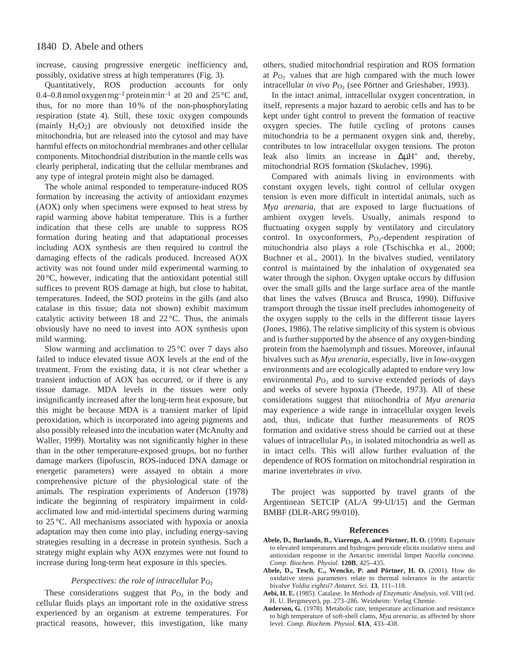increase, causing progressive energetic inefficiency and, possibly, oxidative stress at high temperatures (Fig. 3).

Quantitatively, ROS production accounts for only 0.4–0.8 nmol oxygen mg<sup>-1</sup> protein min<sup>-1</sup> at 20 and 25 °C and, thus, for no more than 10 % of the non-phosphorylating respiration (state 4). Still, these toxic oxygen compounds (mainly  $H_2O_2$ ) are obviously not detoxified inside the mitochondria, but are released into the cytosol and may have harmful effects on mitochondrial membranes and other cellular components. Mitochondrial distribution in the mantle cells was clearly peripheral, indicating that the cellular membranes and any type of integral protein might also be damaged.

The whole animal responded to temperature-induced ROS formation by increasing the activity of antioxidant enzymes (AOX) only when specimens were exposed to heat stress by rapid warming above habitat temperature. This is a further indication that these cells are unable to suppress ROS formation during heating and that adaptational processes including AOX synthesis are then required to control the damaging effects of the radicals produced. Increased AOX activity was not found under mild experimental warming to 20 °C, however, indicating that the antioxidant potential still suffices to prevent ROS damage at high, but close to habitat, temperatures. Indeed, the SOD proteins in the gills (and also catalase in this tissue; data not shown) exhibit maximum catalytic activity between 18 and  $22^{\circ}$ C. Thus, the animals obviously have no need to invest into AOX synthesis upon mild warming.

Slow warming and acclimation to  $25^{\circ}$ C over 7 days also failed to induce elevated tissue AOX levels at the end of the treatment. From the existing data, it is not clear whether a transient induction of AOX has occurred, or if there is any tissue damage. MDA levels in the tissues were only insignificantly increased after the long-term heat exposure, but this might be because MDA is a transient marker of lipid peroxidation, which is incorporated into ageing pigments and also possibly released into the incubation water (McAnulty and Waller, 1999). Mortality was not significantly higher in these than in the other temperature-exposed groups, but no further damage markers (lipofuscin, ROS-induced DNA damage or energetic parameters) were assayed to obtain a more comprehensive picture of the physiological state of the animals. The respiration experiments of Anderson (1978) indicate the beginning of respiratory impairment in coldacclimated low and mid-intertidal specimens during warming to 25 °C. All mechanisms associated with hypoxia or anoxia adaptation may then come into play, including energy-saving strategies resulting in a decrease in protein synthesis. Such a strategy might explain why AOX enzymes were not found to increase during long-term heat exposure in this species.

### *Perspectives: the role of intracellular* P<sub>*O*2</sub>

These considerations suggest that  $P_{\text{O}_2}$  in the body and cellular fluids plays an important role in the oxidative stress experienced by an organism at extreme temperatures. For practical reasons, however, this investigation, like many

others, studied mitochondrial respiration and ROS formation at  $P_{\text{O}_2}$  values that are high compared with the much lower intracellular *in vivo P*<sub>O2</sub> (see Pörtner and Grieshaber, 1993).

In the intact animal, intracellular oxygen concentration, in itself, represents a major hazard to aerobic cells and has to be kept under tight control to prevent the formation of reactive oxygen species. The futile cycling of protons causes mitochondria to be a permanent oxygen sink and, thereby, contributes to low intracellular oxygen tensions. The proton leak also limits an increase in ∆µH+ and, thereby, mitochondrial ROS formation (Skulachev, 1996).

Compared with animals living in environments with constant oxygen levels, tight control of cellular oxygen tension is even more difficult in intertidal animals, such as *Mya arenaria*, that are exposed to large fluctuations of ambient oxygen levels. Usually, animals respond to fluctuating oxygen supply by ventilatory and circulatory control. In oxyconformers, *P*<sub>O2</sub>-dependent respiration of mitochondria also plays a role (Tschischka et al., 2000; Buchner et al., 2001). In the bivalves studied, ventilatory control is maintained by the inhalation of oxygenated sea water through the siphon. Oxygen uptake occurs by diffusion over the small gills and the large surface area of the mantle that lines the valves (Brusca and Brusca, 1990). Diffusive transport through the tissue itself precludes inhomogeneity of the oxygen supply to the cells in the different tissue layers (Jones, 1986). The relative simplicity of this system is obvious and is further supported by the absence of any oxygen-binding protein from the haemolymph and tissues. Moreover, infaunal bivalves such as *Mya arenaria*, especially, live in low-oxygen environments and are ecologically adapted to endure very low environmental  $P_{\text{O}_2}$  and to survive extended periods of days and weeks of severe hypoxia (Theede, 1973). All of these considerations suggest that mitochondria of *Mya arenaria* may experience a wide range in intracellular oxygen levels and, thus, indicate that further measurements of ROS formation and oxidative stress should be carried out at these values of intracellular  $P_{\text{O}_2}$  in isolated mitochondria as well as in intact cells. This will allow further evaluation of the dependence of ROS formation on mitochondrial respiration in marine invertebrates *in vivo*.

The project was supported by travel grants of the Argentinean SETCIP (AL/A 99-UI/15) and the German BMBF (DLR-ARG 99/010).

#### **References**

- **Abele, D., Burlando, B., Viarengo, A. and Pörtner, H. O.** (1998). Exposure to elevated temperatures and hydrogen peroxide elicits oxidative stress and antioxidant response in the Antarctic intertidal limpet *Nacella concinna*. *Comp. Biochem. Physiol.* **120B**, 425–435.
- **Abele, D., Tesch, C., Wencke, P. and Pörtner, H. O.** (2001). How do oxidative stress parameters relate to thermal tolerance in the antarctic bivalve *Yoldia eightsi*? *Antarct. Sci.* **13**, 111–118.
- **Aebi, H. E.** (1985). Catalase. In *Methods of Enzymatic Analysis*, vol. VIII (ed. H. U. Bergmeyer), pp. 273–286. Weinheim: Verlag Chemie.
- **Anderson, G.** (1978). Metabolic rate, temperature acclimation and resistance to high temperature of soft-shell clams, *Mya arenaria*, as affected by shore level. *Comp. Biochem. Physiol.* **61A**, 433–438.